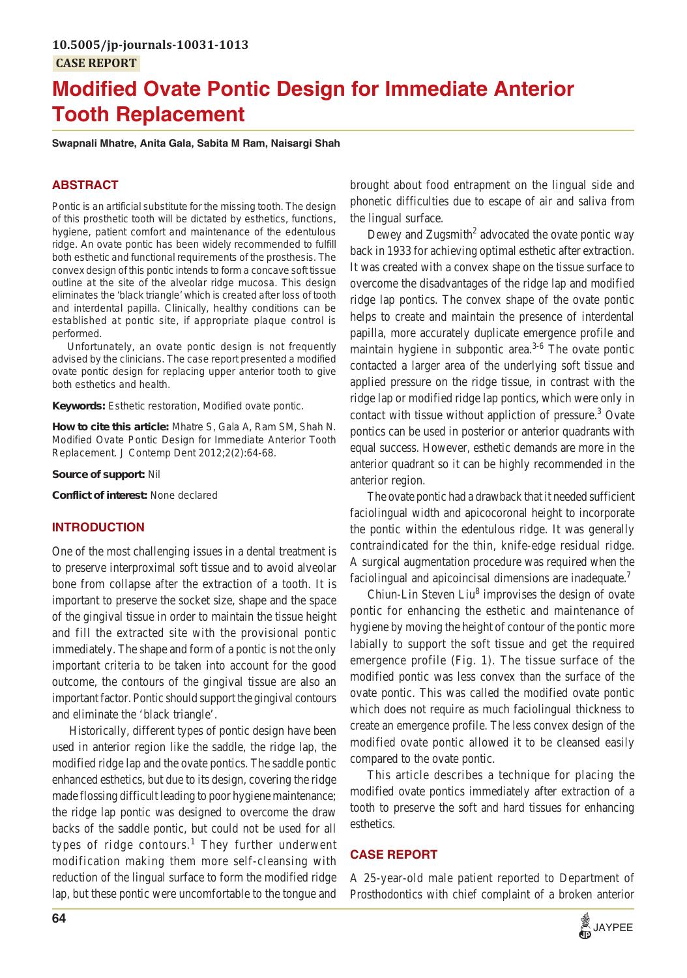# **Modified Ovate Pontic Design for Immediate Anterior Tooth Replacement**

#### **Swapnali Mhatre, Anita Gala, Sabita M Ram, Naisargi Shah**

# **ABSTRACT**

Pontic is an artificial substitute for the missing tooth. The design of this prosthetic tooth will be dictated by esthetics, functions, hygiene, patient comfort and maintenance of the edentulous ridge. An ovate pontic has been widely recommended to fulfill both esthetic and functional requirements of the prosthesis. The convex design of this pontic intends to form a concave soft tissue outline at the site of the alveolar ridge mucosa. This design eliminates the 'black triangle' which is created after loss of tooth and interdental papilla. Clinically, healthy conditions can be established at pontic site, if appropriate plaque control is performed.

Unfortunately, an ovate pontic design is not frequently advised by the clinicians. The case report presented a modified ovate pontic design for replacing upper anterior tooth to give both esthetics and health.

**Keywords:** Esthetic restoration, Modified ovate pontic.

**How to cite this article:** Mhatre S, Gala A, Ram SM, Shah N. Modified Ovate Pontic Design for Immediate Anterior Tooth Replacement. J Contemp Dent 2012;2(2):64-68.

**Source of support:** Nil

**Conflict of interest:** None declared

#### **INTRODUCTION**

One of the most challenging issues in a dental treatment is to preserve interproximal soft tissue and to avoid alveolar bone from collapse after the extraction of a tooth. It is important to preserve the socket size, shape and the space of the gingival tissue in order to maintain the tissue height and fill the extracted site with the provisional pontic immediately. The shape and form of a pontic is not the only important criteria to be taken into account for the good outcome, the contours of the gingival tissue are also an important factor. Pontic should support the gingival contours and eliminate the 'black triangle'.

Historically, different types of pontic design have been used in anterior region like the saddle, the ridge lap, the modified ridge lap and the ovate pontics. The saddle pontic enhanced esthetics, but due to its design, covering the ridge made flossing difficult leading to poor hygiene maintenance; the ridge lap pontic was designed to overcome the draw backs of the saddle pontic, but could not be used for all types of ridge contours.<sup>1</sup> They further underwent modification making them more self-cleansing with reduction of the lingual surface to form the modified ridge lap, but these pontic were uncomfortable to the tongue and brought about food entrapment on the lingual side and phonetic difficulties due to escape of air and saliva from the lingual surface.

Dewey and Zugsmith<sup>2</sup> advocated the ovate pontic way back in 1933 for achieving optimal esthetic after extraction. It was created with a convex shape on the tissue surface to overcome the disadvantages of the ridge lap and modified ridge lap pontics. The convex shape of the ovate pontic helps to create and maintain the presence of interdental papilla, more accurately duplicate emergence profile and maintain hygiene in subpontic area. $3-6$  The ovate pontic contacted a larger area of the underlying soft tissue and applied pressure on the ridge tissue, in contrast with the ridge lap or modified ridge lap pontics, which were only in contact with tissue without appliction of pressure.<sup>3</sup> Ovate pontics can be used in posterior or anterior quadrants with equal success. However, esthetic demands are more in the anterior quadrant so it can be highly recommended in the anterior region.

The ovate pontic had a drawback that it needed sufficient faciolingual width and apicocoronal height to incorporate the pontic within the edentulous ridge. It was generally contraindicated for the thin, knife-edge residual ridge. A surgical augmentation procedure was required when the faciolingual and apicoincisal dimensions are inadequate.<sup>7</sup>

Chiun-Lin Steven Liu<sup>8</sup> improvises the design of ovate pontic for enhancing the esthetic and maintenance of hygiene by moving the height of contour of the pontic more labially to support the soft tissue and get the required emergence profile (Fig. 1). The tissue surface of the modified pontic was less convex than the surface of the ovate pontic. This was called the modified ovate pontic which does not require as much faciolingual thickness to create an emergence profile. The less convex design of the modified ovate pontic allowed it to be cleansed easily compared to the ovate pontic.

This article describes a technique for placing the modified ovate pontics immediately after extraction of a tooth to preserve the soft and hard tissues for enhancing esthetics.

## **CASE REPORT**

A 25-year-old male patient reported to Department of Prosthodontics with chief complaint of a broken anterior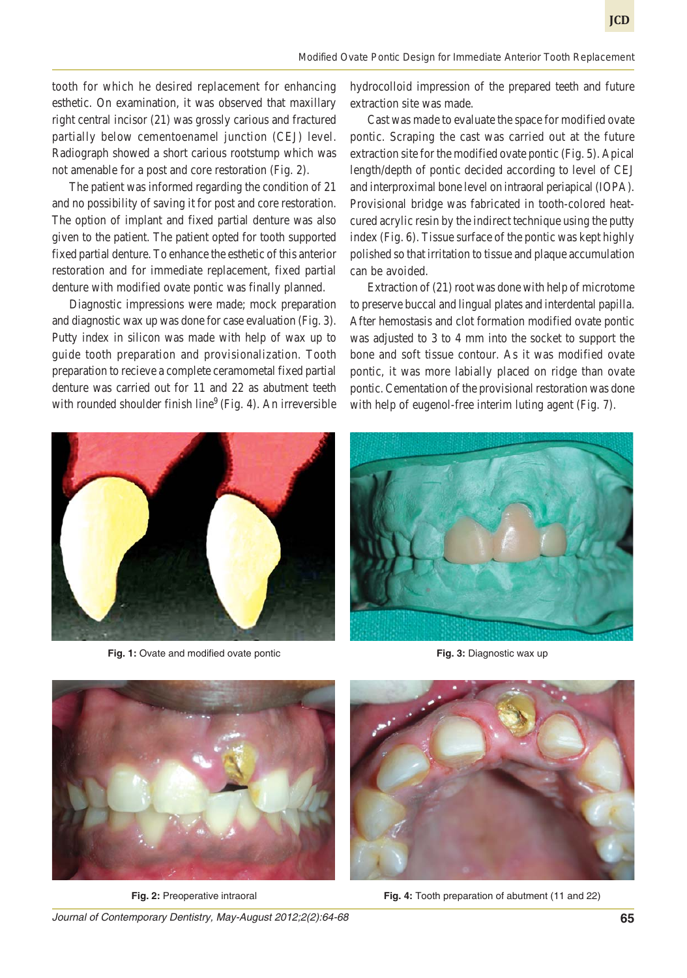tooth for which he desired replacement for enhancing esthetic. On examination, it was observed that maxillary right central incisor (21) was grossly carious and fractured partially below cementoenamel junction (CEJ) level. Radiograph showed a short carious rootstump which was not amenable for a post and core restoration (Fig. 2).

The patient was informed regarding the condition of 21 and no possibility of saving it for post and core restoration. The option of implant and fixed partial denture was also given to the patient. The patient opted for tooth supported fixed partial denture. To enhance the esthetic of this anterior restoration and for immediate replacement, fixed partial denture with modified ovate pontic was finally planned.

Diagnostic impressions were made; mock preparation and diagnostic wax up was done for case evaluation (Fig. 3). Putty index in silicon was made with help of wax up to guide tooth preparation and provisionalization. Tooth preparation to recieve a complete ceramometal fixed partial denture was carried out for 11 and 22 as abutment teeth with rounded shoulder finish line<sup>9</sup> (Fig. 4). An irreversible hydrocolloid impression of the prepared teeth and future extraction site was made.

Cast was made to evaluate the space for modified ovate pontic. Scraping the cast was carried out at the future extraction site for the modified ovate pontic (Fig. 5). Apical length/depth of pontic decided according to level of CEJ and interproximal bone level on intraoral periapical (IOPA). Provisional bridge was fabricated in tooth-colored heatcured acrylic resin by the indirect technique using the putty index (Fig. 6). Tissue surface of the pontic was kept highly polished so that irritation to tissue and plaque accumulation can be avoided.

Extraction of (21) root was done with help of microtome to preserve buccal and lingual plates and interdental papilla. After hemostasis and clot formation modified ovate pontic was adjusted to 3 to 4 mm into the socket to support the bone and soft tissue contour. As it was modified ovate pontic, it was more labially placed on ridge than ovate pontic. Cementation of the provisional restoration was done with help of eugenol-free interim luting agent (Fig. 7).



**Fig. 1:** Ovate and modified ovate pontic



**Fig. 3:** Diagnostic wax up



**Fig. 2:** Preoperative intraoral



**Fig. 4:** Tooth preparation of abutment (11 and 22)

*Journal of Contemporary Dentistry, May-August 2012;2(2):64-68* **65**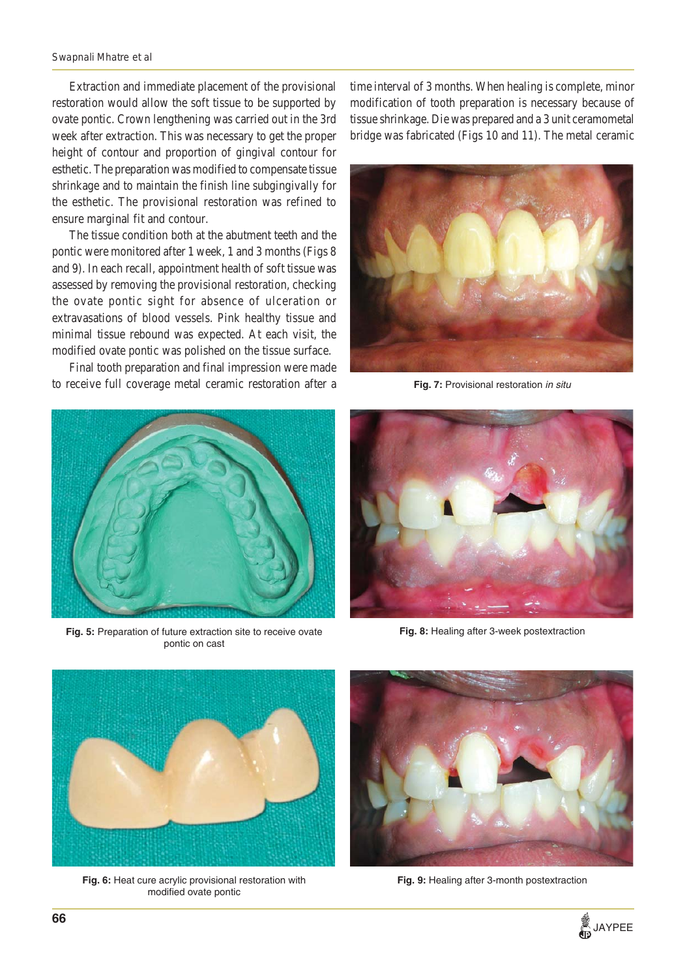#### *Swapnali Mhatre et al*

Extraction and immediate placement of the provisional restoration would allow the soft tissue to be supported by ovate pontic. Crown lengthening was carried out in the 3rd week after extraction. This was necessary to get the proper height of contour and proportion of gingival contour for esthetic. The preparation was modified to compensate tissue shrinkage and to maintain the finish line subgingivally for the esthetic. The provisional restoration was refined to ensure marginal fit and contour.

The tissue condition both at the abutment teeth and the pontic were monitored after 1 week, 1 and 3 months (Figs 8 and 9). In each recall, appointment health of soft tissue was assessed by removing the provisional restoration, checking the ovate pontic sight for absence of ulceration or extravasations of blood vessels. Pink healthy tissue and minimal tissue rebound was expected. At each visit, the modified ovate pontic was polished on the tissue surface.

Final tooth preparation and final impression were made to receive full coverage metal ceramic restoration after a



**Fig. 5:** Preparation of future extraction site to receive ovate pontic on cast

time interval of 3 months. When healing is complete, minor modification of tooth preparation is necessary because of tissue shrinkage. Die was prepared and a 3 unit ceramometal bridge was fabricated (Figs 10 and 11). The metal ceramic



**Fig. 7:** Provisional restoration *in situ*



**Fig. 8:** Healing after 3-week postextraction



**Fig. 6:** Heat cure acrylic provisional restoration with modified ovate pontic



**Fig. 9:** Healing after 3-month postextraction

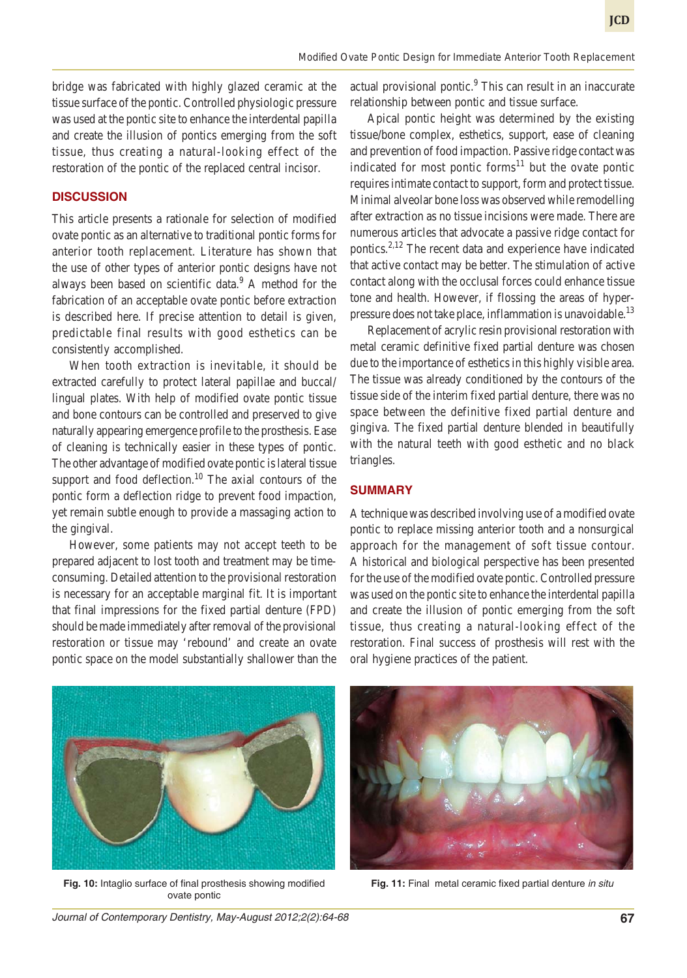bridge was fabricated with highly glazed ceramic at the tissue surface of the pontic. Controlled physiologic pressure was used at the pontic site to enhance the interdental papilla and create the illusion of pontics emerging from the soft tissue, thus creating a natural-looking effect of the restoration of the pontic of the replaced central incisor.

# **DISCUSSION**

This article presents a rationale for selection of modified ovate pontic as an alternative to traditional pontic forms for anterior tooth replacement. Literature has shown that the use of other types of anterior pontic designs have not always been based on scientific data.<sup>9</sup> A method for the fabrication of an acceptable ovate pontic before extraction is described here. If precise attention to detail is given, predictable final results with good esthetics can be consistently accomplished.

When tooth extraction is inevitable, it should be extracted carefully to protect lateral papillae and buccal/ lingual plates. With help of modified ovate pontic tissue and bone contours can be controlled and preserved to give naturally appearing emergence profile to the prosthesis. Ease of cleaning is technically easier in these types of pontic. The other advantage of modified ovate pontic is lateral tissue support and food deflection.<sup>10</sup> The axial contours of the pontic form a deflection ridge to prevent food impaction, yet remain subtle enough to provide a massaging action to the gingival.

However, some patients may not accept teeth to be prepared adjacent to lost tooth and treatment may be timeconsuming. Detailed attention to the provisional restoration is necessary for an acceptable marginal fit. It is important that final impressions for the fixed partial denture (FPD) should be made immediately after removal of the provisional restoration or tissue may 'rebound' and create an ovate pontic space on the model substantially shallower than the

actual provisional pontic.<sup>9</sup> This can result in an inaccurate relationship between pontic and tissue surface.

Apical pontic height was determined by the existing tissue/bone complex, esthetics, support, ease of cleaning and prevention of food impaction. Passive ridge contact was indicated for most pontic forms<sup>11</sup> but the ovate pontic requires intimate contact to support, form and protect tissue. Minimal alveolar bone loss was observed while remodelling after extraction as no tissue incisions were made. There are numerous articles that advocate a passive ridge contact for pontics.<sup>2,12</sup> The recent data and experience have indicated that active contact may be better. The stimulation of active contact along with the occlusal forces could enhance tissue tone and health. However, if flossing the areas of hyperpressure does not take place, inflammation is unavoidable.<sup>13</sup>

Replacement of acrylic resin provisional restoration with metal ceramic definitive fixed partial denture was chosen due to the importance of esthetics in this highly visible area. The tissue was already conditioned by the contours of the tissue side of the interim fixed partial denture, there was no space between the definitive fixed partial denture and gingiva. The fixed partial denture blended in beautifully with the natural teeth with good esthetic and no black triangles.

#### **SUMMARY**

A technique was described involving use of a modified ovate pontic to replace missing anterior tooth and a nonsurgical approach for the management of soft tissue contour. A historical and biological perspective has been presented for the use of the modified ovate pontic. Controlled pressure was used on the pontic site to enhance the interdental papilla and create the illusion of pontic emerging from the soft tissue, thus creating a natural-looking effect of the restoration. Final success of prosthesis will rest with the oral hygiene practices of the patient.



**Fig. 10:** Intaglio surface of final prosthesis showing modified **Fig. 11:** Final metal ceramic fixed partial denture *in situ* ovate pontic



*Journal of Contemporary Dentistry, May-August 2012;2(2):64-68* **67**